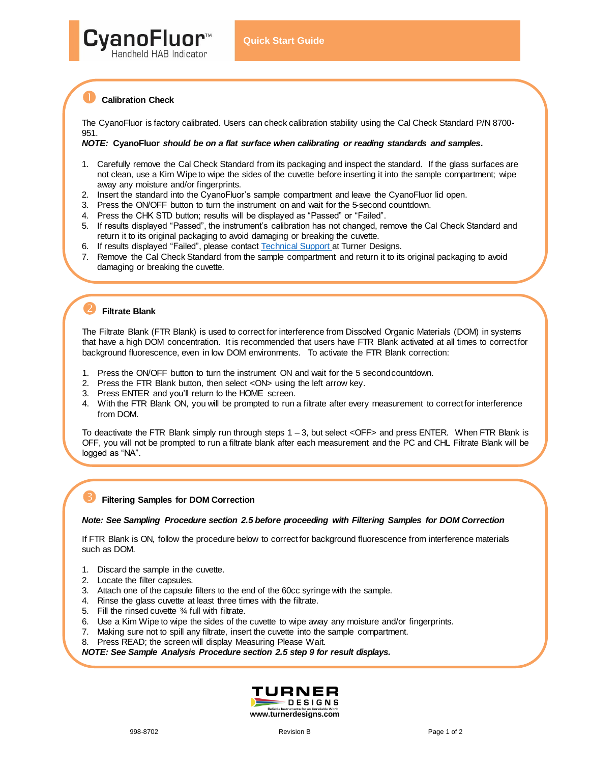

## **Calibration Check**

The CyanoFluor is factory calibrated. Users can check calibration stability using the Cal Check Standard P/N 8700- 951.

#### *NOTE:* **CyanoFluor** *should be on a flat surface when calibrating or reading standards and samples.*

- 1. Carefully remove the Cal Check Standard from its packaging and inspect the standard. If the glass surfaces are not clean, use a Kim Wipe to wipe the sides of the cuvette before inserting it into the sample compartment; wipe away any moisture and/or fingerprints.
- 2. Insert the standard into the CyanoFluor's sample compartment and leave the CyanoFluor lid open.
- 3. Press the ON/OFF button to turn the instrument on and wait for the 5-second countdown.
- 4. Press the CHK STD button; results will be displayed as "Passed" or "Failed".
- 5. If results displayed "Passed", the instrument's calibration has not changed, remove the Cal Check Standard and return it to its original packaging to avoid damaging or breaking the cuvette.
- 6. If results displayed "Failed", please contact Technical Support at Turner Designs.
- 7. Remove the Cal Check Standard from the sample compartment and return it to its original packaging to avoid damaging or breaking the cuvette.

# **Filtrate Blank**

The Filtrate Blank (FTR Blank) is used to correct for interference from Dissolved Organic Materials (DOM) in systems that have a high DOM concentration. It is recommended that users have FTR Blank activated at all times to correct for background fluorescence, even in low DOM environments. To activate the FTR Blank correction:

- 1. Press the ON/OFF button to turn the instrument ON and wait for the 5 second countdown.
- 2. Press the FTR Blank button, then select <ON> using the left arrow key.
- 3. Press ENTER and you'll return to the HOME screen.
- 4. With the FTR Blank ON, you will be prompted to run a filtrate after every measurement to correct for interference from DOM.

To deactivate the FTR Blank simply run through steps 1 – 3, but select <OFF> and press ENTER. When FTR Blank is OFF, you will not be prompted to run a filtrate blank after each measurement and the PC and CHL Filtrate Blank will be logged as "NA".

## **Filtering Samples for DOM Correction**

#### *Note: See Sampling Procedure section 2.5 before proceeding with Filtering Samples for DOM Correction*

If FTR Blank is ON, follow the procedure below to correct for background fluorescence from interference materials such as DOM.

- 1. Discard the sample in the cuvette.
- 2. Locate the filter capsules.
- 3. Attach one of the capsule filters to the end of the 60cc syringe with the sample.
- 4. Rinse the glass cuvette at least three times with the filtrate.
- 5. Fill the rinsed cuvette ¾ full with filtrate.
- 6. Use a Kim Wipe to wipe the sides of the cuvette to wipe away any moisture and/or fingerprints.
- 7. Making sure not to spill any filtrate, insert the cuvette into the sample compartment.
- 8. Press READ; the screen will display Measuring Please Wait.

*NOTE: See Sample Analysis Procedure section 2.5 step 9 for result displays.*